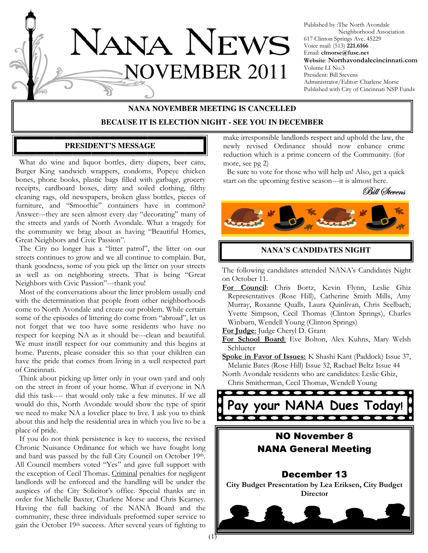

Published by :The North Avondale Neighborhood Association 617 Clinton Springs Ave. 45229 Voice mail: (513) 221.6166 Email: clmorse@fuse.net Website: Northavondalecincinnati.com Volume LI No.3 President: Bill Stevens Administrator/Editor: Charlene Morse Published with City of Cincinnati NSP Funds

# **NANA NOVEMBER MEETING IS CANCELLED BECAUSE IT IS ELECTION NIGHT - SEE YOU IN DECEMBER**

#### **PRESIDENT'S MESSAGE**

 What do wine and liquor bottles, dirty diapers, beer cans, Burger King sandwich wrappers, condoms, Popeye chicken bones, phone books, plastic bags filled with garbage, grocery receipts, cardboard boxes, dirty and soiled clothing, filthy cleaning rags, old newspapers, broken glass bottles, pieces of furniture, and "Smoothie" containers have in common? Answer---they are seen almost every day "decorating" many of the streets and yards of North Avondale. What a tragedy for the community we brag about as having "Beautiful Homes, Great Neighbors and Civic Passion".

 The City no longer has a "litter patrol", the litter on our streets continues to grow and we all continue to complain. But, thank goodness, some of you pick up the litter on your streets as well as on neighboring streets. That is being "Great Neighbors with Civic Passion"---thank you!

 Most of the conversations about the litter problem usually end with the determination that people from other neighborhoods come to North Avondale and create our problem. While certain some of the episodes of littering do come from "abroad", let us not forget that we too have some residents who have no respect for keeping NA as it should be---clean and beautiful. We must instill respect for our community and this begins at home. Parents, please consider this so that your children can have the pride that comes from living in a well respected part of Cincinnati.

 Think about picking up litter only in your own yard and only on the street in front of your home. What if everyone in NA did this task---- that would only take a few minutes. If we all would do this, North Avondale would show the type of spirit we need to make NA a lovelier place to live. I ask you to think about this and help the residential area in which you live to be a place of pride.

 If you do not think persistence is key to success, the revised Chronic Nuisance Ordinance for which we have fought long and hard was passed by the full City Council on October 19th. All Council members voted "Yes" and gave full support with the exception of Cecil Thomas. Criminal penalties for negligent landlords will be enforced and the handling will be under the auspices of the City Solicitor's office. Special thanks are in order for Michelle Baxter, Charlene Morse and Chris Kearney. Having the full backing of the NANA Board and the community, these three individuals preformed super service to gain the October 19th success. After several years of fighting to

make irresponsible landlords respect and uphold the law, the newly revised Ordinance should now enhance crime reduction which is a prime concern of the Community. (for more, see pg 2)

 Be sure to vote for those who will help us! Also, get a quick start on the upcoming festive season---it is almost here.





#### **NANA'S CANDIDATES NIGHT**

The following candidates attended NANA's Candidates Night on October 11.

For Council: Chris Bortz, Kevin Flynn, Leslie Ghiz Representatives (Rose Hill), Catherine Smith Mills, Amy Murray, Roxanne Qualls, Laura Quinlivan, Chris Seelbach, Yvette Simpson, Cecil Thomas (Clinton Springs), Charles Winburn, Wendell Young (Clinton Springs)

For Judge: Judge Cheryl D. Grant

For School Board: Eve Bolton, Alex Kuhns, Mary Welsh Schlueter

Spoke in Favor of Issues: K Shashi Kant (Paddock) Issue 37, Melanie Bates (Rose Hill) Issue 32, Rachael Beltz Issue 44

North Avondale residents who are candidates: Leslie Ghiz, Chris Smitherman, Cecil Thomas, Wendell Young

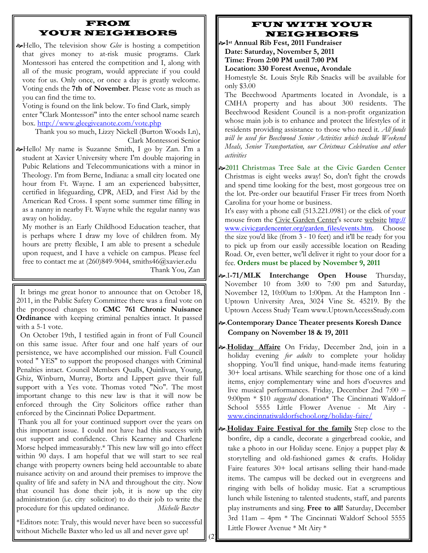## FROM YOUR NEIGHBORS

 $\infty$ Hello, The television show *Glee* is hosting a competition that gives money to at-risk music programs. Clark Montessori has entered the competition and I, along with all of the music program, would appreciate if you could vote for us. Only once, or once a day is greatly welcome. Voting ends the 7th of November. Please vote as much as you can find the time to.

Voting is found on the link below. To find Clark, simply enter "Clark Montessori" into the enter school name search box. http://www.gleegiveanote.com/vote.php

Thank you so much, Lizzy Nickell (Burton Woods Ln), Clark Montessori Senior

Hello! My name is Suzanne Smith, I go by Zan. I'm a student at Xavier University where I'm double majoring in Pubic Relations and Telecommunications with a minor in Theology. I'm from Berne, Indiana: a small city located one hour from Ft. Wayne. I am an experienced babysitter, certified in lifeguarding, CPR, AED, and First Aid by the American Red Cross. I spent some summer time filling in as a nanny in nearby Ft. Wayne while the regular nanny was away on holiday.

My mother is an Early Childhood Education teacher, that is perhaps where I draw my love of children from. My hours are pretty flexible, I am able to present a schedule upon request, and I have a vehicle on campus. Please feel free to contact me at (260)849-9044, smiths46@xavier.edu

Thank You, Zan

 It brings me great honor to announce that on October 18, 2011, in the Public Safety Committee there was a final vote on the proposed changes to CMC 761 Chronic Nuisance Ordinance with keeping criminal penalties intact. It passed with a 5-1 vote.

 On October 19th, I testified again in front of Full Council on this same issue. After four and one half years of our persistence, we have accomplished our mission. Full Council voted " YES" to support the proposed changes with Criminal Penalties intact. Council Members Qualls, Quinlivan, Young, Ghiz, Winburn, Murray, Bortz and Lippert gave their full support with a Yes vote. Thomas voted "No". The most important change to this new law is that it will now be enforced through the City Solicitors office rather than enforced by the Cincinnati Police Department.

Thank you all for your continued support over the years on this important issue. I could not have had this success with out support and confidence. Chris Kearney and Charlene Morse helped immeasurably.\* This new law will go into effect within 90 days. I am hopeful that we will start to see real change with property owners being held accountable to abate nuisance activity on and around their premises to improve the quality of life and safety in NA and throughout the city. Now that council has done their job, it is now up the city administration (i.e. city solicitor) to do their job to write the procedure for this updated ordinance. Michelle Baxter

\*Editors note: Truly, this would never have been so successful without Michelle Baxter who led us all and never gave up!

#### FUN WITH YOUR NEIGHBORS

1 st Annual Rib Fest, 2011 Fundraiser

Date: Saturday, November 5, 2011 Time: From 2:00 PM until 7:00 PM

Location: 330 Forest Avenue, Avondale

Homestyle St. Louis Style Rib Snacks will be available for only \$3.00

The Beechwood Apartments located in Avondale, is a CMHA property and has about 300 residents. The Beechwood Resident Council is a non-profit organization whose main job is to enhance and protect the lifestyles of it residents providing assistance to those who need it. All funds will be used for Beechwood Senior Activities which include Weekend Meals, Senior Transportation, our Christmas Celebration and other activities

2011 Christmas Tree Sale at the Civic Garden Center Christmas is eight weeks away! So, don't fight the crowds and spend time looking for the best, most gorgeous tree on the lot. Pre-order our beautiful Fraser Fir trees from North Carolina for your home or business.

It's easy with a phone call (513.221.0981) or the click of your mouse from the Civic Garden Center's secure website http:// www.civicgardencenter.org/garden\_files/events.htm. Choose the size you'd like (from 3 - 10 feet) and it'll be ready for you to pick up from our easily accessible location on Reading Road. Or, even better, we'll deliver it right to your door for a fee. Orders must be placed by November 9, 2011

- $\sim$ .I-71/MLK Interchange Open House Thursday, November 10 from 3:00 to 7:00 pm and Saturday, November 12, 10:00am to 1:00pm. At the Hampton Inn - Uptown University Area, 3024 Vine St. 45219. By the Uptown Access Study Team www.UptownAccessStudy.com
- .Contemporary Dance Theater presents Koresh Dance Company on November 18 & 19, 2011
- **.**Abliday Affaire On Friday, December 2nd, join in a holiday evening *for adults* to complete your holiday shopping. You'll find unique, hand-made items featuring 30+ local artisans. While searching for those one of a kind items, enjoy complementary wine and hors d'oeuvres and live musical performances. Friday, December 2nd 7:00 – 9:00pm \* \$10 suggested donation\* The Cincinnati Waldorf School 5555 Little Flower Avenue - Mt Airy www.cincinnatiwaldorfschool.org/holiday-faire/
- .Holiday Faire Festival for the family Step close to the bonfire, dip a candle, decorate a gingerbread cookie, and take a photo in our Holiday scene. Enjoy a puppet play & storytelling and old-fashioned games & crafts. Holiday Faire features 30+ local artisans selling their hand-made items. The campus will be decked out in evergreens and ringing with bells of holiday music. Eat a scrumptious lunch while listening to talented students, staff, and parents play instruments and sing. Free to all! Saturday, December 3rd 11am – 4pm \* The Cincinnati Waldorf School 5555 Little Flower Avenue \* Mt Airy \*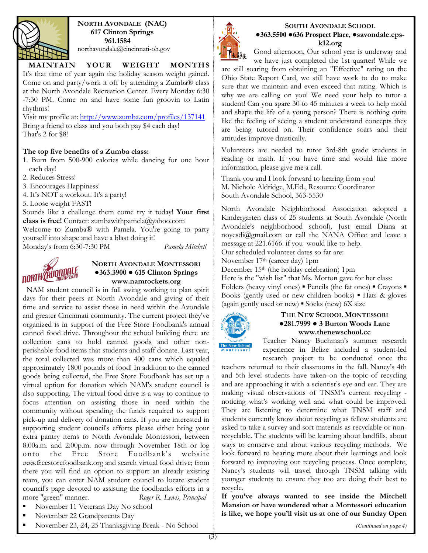

NORTH AVONDALE (NAC) 617 Clinton Springs 961.1584 northavondale@cincinnati-oh.gov

## MAINTAIN YOUR WEIGHT MONTHS

It's that time of year again the holiday season weight gained. Come on and party/work it off by attending a Zumba® class at the North Avondale Recreation Center. Every Monday 6:30 -7:30 PM. Come on and have some fun groovin to Latin rhythms!

Visit my profile at: http://www.zumba.com/profiles/137141 Bring a friend to class and you both pay \$4 each day! That's 2 for \$8!

#### The top five benefits of a Zumba class:

- 1. Burn from 500-900 calories while dancing for one hour each day!
- 2. Reduces Stress!

3. Encourages Happiness!

4. It's NOT a workout. It's a party!

5. Loose weight FAST!

Sounds like a challenge them come try it today! Your first class is free! Contact: zumbawithpamela@yahoo.com

Welcome to Zumba® with Pamela. You're going to party

yourself into shape and have a blast doing it! Monday's from 6:30-7:30 PM Pamela Mitchell



#### NORTH AVONDALE MONTESSORI ●363.3900 ● 615 Clinton Springs www.namrockets.org

 NAM student council is in full swing working to plan spirit days for their peers at North Avondale and giving of their time and service to assist those in need within the Avondale and greater Cincinnati community. The current project they've organized is in support of the Free Store Foodbank's annual canned food drive. Throughout the school building there are collection cans to hold canned goods and other nonperishable food items that students and staff donate. Last year, the total collected was more than 400 cans which equaled approximately 1800 pounds of food! In addition to the canned goods being collected, the Free Store Foodbank has set up a virtual option for donation which NAM's student council is also supporting. The virtual food drive is a way to continue to focus attention on assisting those in need within the community without spending the funds required to support pick-up and delivery of donation cans. If you are interested in supporting student council's efforts please either bring your extra pantry items to North Avondale Montessori, between 8:00a.m. and 2:00p.m. now through November 18th or log onto the Free Store Foodbank's website www.freestorefoodbank.org and search virtual food drive; from there you will find an option to support an already existing team, you can enter NAM student council to locate student council's page devoted to assisting the foodbanks efforts in a more "green" manner. Roger R. Lewis, Principal

- November 11 Veterans Day No school
- November 22 Grandparents Day
- November 23, 24, 25 Thanksgiving Break No School



#### SOUTH AVONDALE SCHOOL ●**363.5500** ●**636 Prospect Place,** ●savondale.cpsk12.org

Good afternoon, Our school year is underway and

we have just completed the 1st quarter! While we are still soaring from obtaining an "Effective" rating on the Ohio State Report Card, we still have work to do to make sure that we maintain and even exceed that rating. Which is why we are calling on you! We need your help to tutor a student! Can you spare 30 to 45 minutes a week to help mold and shape the life of a young person? There is nothing quite like the feeling of seeing a student understand concepts they are being tutored on. Their confidence soars and their attitudes improve drastically.

Volunteers are needed to tutor 3rd-8th grade students in reading or math. If you have time and would like more information, please give me a call.

Thank you and I look forward to hearing from you! M. Nichole Aldridge, M.Ed., Resource Coordinator South Avondale School, 363-5530

North Avondale Neighborhood Association adopted a Kindergarten class of 25 students at South Avondale (North Avondale's neighborhood school). Just email Diana at noyesdi@gmail.com or call the NANA Office and leave a message at 221.6166. if you would like to help.

Our scheduled volunteer dates so far are:

November 17th (career day) 1pm

December 15th (the holiday celebration) 1pm

Here is the "wish list" that Ms. Morton gave for her class: Folders (heavy vinyl ones) ▪ Pencils (the fat ones) ▪ Crayons ▪ Books (gently used or new children books) ▪ Hats & gloves (again gently used or new)  $\blacktriangleright$  Socks (new) 6X size



#### THE NEW SCHOOL MONTESSORI ●281.7999 ● 3 Burton Woods Lane www.thenewschool.cc

Teacher Nancy Buchman's summer research experience in Belize included a student-led research project to be conducted once the

teachers returned to their classrooms in the fall. Nancy's 4th and 5th level students have taken on the topic of recycling and are approaching it with a scientist's eye and ear. They are making visual observations of TNSM's current recycling noticing what's working well and what could be improved. They are listening to determine what TNSM staff and students currently know about recycling as fellow students are asked to take a survey and sort materials as recyclable or nonrecyclable. The students will be learning about landfills, about ways to conserve and about various recycling methods. We look forward to hearing more about their learnings and look forward to improving our recycling process. Once complete, Nancy's students will travel through TNSM talking with younger students to ensure they too are doing their best to recycle.

If you've always wanted to see inside the Mitchell Mansion or have wondered what a Montessori education is like, we hope you'll visit us at one of our Sunday Open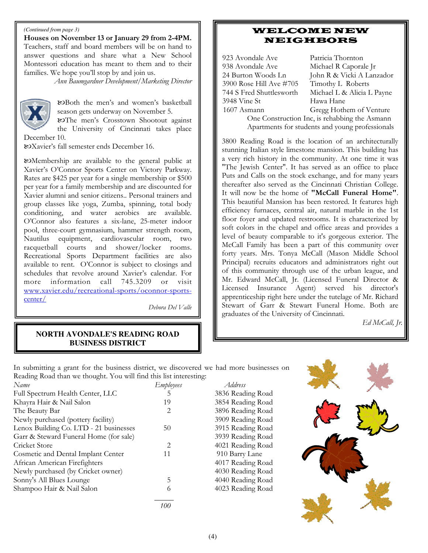#### *(Continued from page 3)*

Houses on November 13 or January 29 from 2-4PM. Teachers, staff and board members will be on hand to answer questions and share what a New School Montessori education has meant to them and to their families. We hope you'll stop by and join us.

Ann Baumgardner Development/Marketing Director



-Both the men's and women's basketball season gets underway on November 5.

-The men's Crosstown Shootout against the University of Cincinnati takes place

December 10.

-Xavier's fall semester ends December 16.

-Membership are available to the general public at Xavier's O'Connor Sports Center on Victory Parkway. Rates are \$425 per year for a single membership or \$500 per year for a family membership and are discounted for Xavier alumni and senior citizens.. Personal trainers and group classes like yoga, Zumba, spinning, total body conditioning, and water aerobics are available. O'Connor also features a six-lane, 25-meter indoor pool, three-court gymnasium, hammer strength room, Nautilus equipment, cardiovascular room, two racquetball courts and shower/locker rooms. Recreational Sports Department facilities are also available to rent. O'Connor is subject to closings and schedules that revolve around Xavier's calendar. For more information call 745.3209 or visit www.xavier.edu/recreational-sports/oconnor-sportscenter/

Debora Del Valle

## WELCOME NEW NEIGHBORS

923 Avondale Ave Patricia Thornton 938 Avondale Ave Michael R Caporale Jr 3900 Rose Hill Ave #705 Timothy L Roberts<br>744 S Fred Shuttlesworth Michael L & Alicia I 3948 Vine St Hawa Hane 1607 Asmann Gregg Hothem of Venture

24 Burton Woods Ln John R & Vicki A Lanzador<br>3900 Rose Hill Ave #705 Timothy L Roberts Michael L & Alicia L Payne

> One Construction Inc, is rehabbing the Asmann Apartments for students and young professionals

3800 Reading Road is the location of an architecturally stunning Italian style limestone mansion. This building has a very rich history in the community. At one time it was "The Jewish Center". It has served as an office to place Puts and Calls on the stock exchange, and for many years thereafter also served as the Cincinnati Christian College. It will now be the home of "McCall Funeral Home". This beautiful Mansion has been restored. It features high efficiency furnaces, central air, natural marble in the 1st floor foyer and updated restrooms. It is characterized by soft colors in the chapel and office areas and provides a level of beauty comparable to it's gorgeous exterior. The McCall Family has been a part of this community over forty years. Mrs. Tonya McCall (Mason Middle School Principal) recruits educators and administrators right out of this community through use of the urban league, and Mr. Edward McCall, Jr. (Licensed Funeral Director & Licensed Insurance Agent) served his director's apprenticeship right here under the tutelage of Mr. Richard Stewart of Garr & Stewart Funeral Home. Both are graduates of the University of Cincinnati.

Ed McCall, Jr.

#### **NORTH AVONDALE'S READING ROAD BUSINESS DISTRICT**

In submitting a grant for the business district, we discovered we had more businesses on Reading Road than we thought. You will find this list interesting:

| Name                                   | Employees | Address    |
|----------------------------------------|-----------|------------|
| Full Spectrum Health Center, LLC       | 5         | 3836 Readi |
| Khayra Hair & Nail Salon               | 19        | 3854 Readi |
| The Beauty Bar                         | 2         | 3896 Readi |
| Newly purchased (pottery facility)     |           | 3909 Readi |
| Lenox Building Co. LTD - 21 businesses | 50        | 3915 Readi |
| Garr & Steward Funeral Home (for sale) |           | 3939 Readi |
| Cricket Store                          | 2         | 4021 Readi |
| Cosmetic and Dental Implant Center     | 11        | 910 Barry  |
| African American Firefighters          |           | 4017 Readi |
| Newly purchased (by Cricket owner)     |           | 4030 Readi |
| Sonny's All Blues Lounge               | 5         | 4040 Readi |
| Shampoo Hair & Nail Salon              | 6         | 4023 Readi |
|                                        |           |            |

100

3836 Reading Road 3854 Reading Road 3896 Reading Road 3909 Reading Road 3915 Reading Road 3939 Reading Road 4021 Reading Road 910 Barry Lane 4017 Reading Road 4030 Reading Road 4040 Reading Road 4023 Reading Road

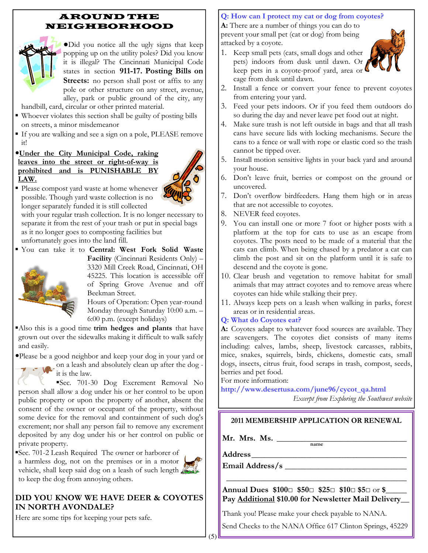#### AROUND THE NEIGHBORHOOD



●Did you notice all the ugly signs that keep popping up on the utility poles? Did you know it is illegal? The Cincinnati Municipal Code states in section 911-17. Posting Bills on Streets: no person shall post or affix to any pole or other structure on any street, avenue, alley, park or public ground of the city, any

handbill, card, circular or other printed material.

- Whoever violates this section shall be guilty of posting bills on streets, a minor misdemeanor
- If you are walking and see a sign on a pole, PLEASE remove it!
- •Under the City Municipal Code, raking leaves into the street or right-of-way is prohibited and is PUNISHABLE BY LAW.



**Please compost yard waste at home whenever** possible. Though yard waste collection is no longer separately funded it is still collected

with your regular trash collection. It is no longer necessary to separate it from the rest of your trash or put in special bags as it no longer goes to composting facilities but

unfortunately goes into the land fill.



Facility (Cincinnati Residents Only) – 3320 Mill Creek Road, Cincinnati, OH 45225. This location is accessible off of Spring Grove Avenue and off Beekman Street.

Hours of Operation: Open year-round Monday through Saturday 10:00 a.m. – 6:00 p.m. (except holidays)

 $\blacksquare$ Also this is a good time trim hedges and plants that have grown out over the sidewalks making it difficult to walk safely and easily.

•Please be a good neighbor and keep your dog in your yard or

on a leash and absolutely clean up after the dog it is the law.

▪ Sec. 701-30 Dog Excrement Removal No person shall allow a dog under his or her control to be upon public property or upon the property of another, absent the consent of the owner or occupant of the property, without some device for the removal and containment of such dog's excrement; nor shall any person fail to remove any excrement deposited by any dog under his or her control on public or private property.

▪ Sec. 701-2 Leash Required The owner or harborer of



## DID YOU KNOW WE HAVE DEER & COYOTES IN NORTH AVONDALE?

Here are some tips for keeping your pets safe.

## Q: How can I protect my cat or dog from coyotes?

A: There are a number of things you can do to prevent your small pet (cat or dog) from being attacked by a coyote.

1. Keep small pets (cats, small dogs and other



- pets) indoors from dusk until dawn. Or keep pets in a coyote-proof yard, area or cage from dusk until dawn.
- 2. Install a fence or convert your fence to prevent coyotes from entering your yard.
- 3. Feed your pets indoors. Or if you feed them outdoors do so during the day and never leave pet food out at night.
- 4. Make sure trash is not left outside in bags and that all trash cans have secure lids with locking mechanisms. Secure the cans to a fence or wall with rope or elastic cord so the trash cannot be tipped over.
- 5. Install motion sensitive lights in your back yard and around your house.
- 6. Don't leave fruit, berries or compost on the ground or uncovered.
- 7. Don't overflow birdfeeders. Hang them high or in areas that are not accessible to coyotes.
- 8. NEVER feed coyotes.
- 9. You can install one or more 7 foot or higher posts with a platform at the top for cats to use as an escape from coyotes. The posts need to be made of a material that the cats can climb. When being chased by a predator a cat can climb the post and sit on the platform until it is safe to descend and the coyote is gone.
- 10. Clear brush and vegetation to remove habitat for small animals that may attract coyotes and to remove areas where coyotes can hide while stalking their prey.
- 11. Always keep pets on a leash when walking in parks, forest areas or in residential areas.

## Q: What do Coyotes eat?

A: Coyotes adapt to whatever food sources are available. They are scavengers. The coyotes diet consists of many items including: calves, lambs, sheep, livestock carcasses, rabbits, mice, snakes, squirrels, birds, chickens, domestic cats, small dogs, insects, citrus fruit, food scraps in trash, compost, seeds, berries and pet food.

For more information:

http://www.desertusa.com/june96/cycot\_qa.html

Excerpt from Exploring the Southwest website

## 2011 MEMBERSHIP APPLICATION OR RENEWAL

name

Mr. Mrs. Ms.

Address \_\_\_\_\_\_\_\_\_\_\_\_\_\_\_\_\_\_\_\_\_\_\_\_\_\_\_\_\_\_\_\_\_\_\_\_\_

Email Address/s \_\_\_\_\_\_\_\_\_\_\_\_\_\_\_\_\_\_\_\_\_\_\_\_\_\_\_\_\_

Annual Dues \$100□ \$50□ \$25□ \$10□ \$5□ or \$\_\_\_\_\_ Pay **Additional \$10.00 for Newsletter Mail Delivery\_** 

\_\_\_\_\_\_\_\_\_\_\_\_\_\_\_\_\_\_\_\_\_\_\_\_\_\_\_\_\_\_\_\_\_\_\_\_\_\_\_\_\_\_\_

Thank you! Please make your check payable to NANA.

Send Checks to the NANA Office 617 Clinton Springs, 45229